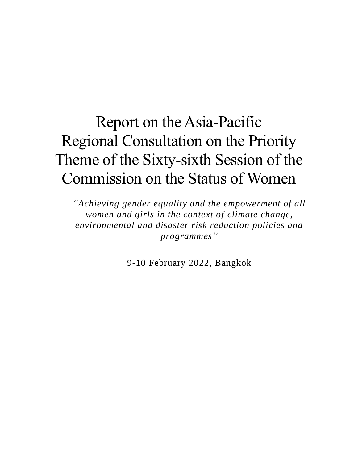# Report on the Asia-Pacific Regional Consultation on the Priority Theme of the Sixty-sixth Session of the Commission on the Status of Women

*"Achieving gender equality and the empowerment of all women and girls in the context of climate change, environmental and disaster risk reduction policies and programmes"*

9-10 February 2022, Bangkok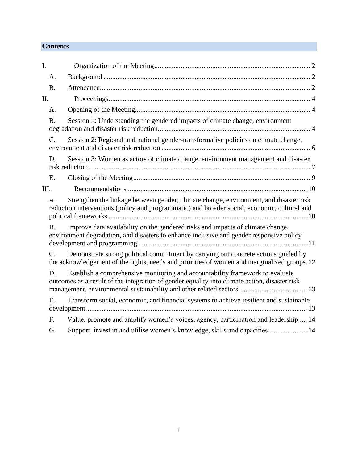# **Contents**

| I.   |                                                                                                                                                                                             |                                                                                                                                                                                    |
|------|---------------------------------------------------------------------------------------------------------------------------------------------------------------------------------------------|------------------------------------------------------------------------------------------------------------------------------------------------------------------------------------|
|      | A.                                                                                                                                                                                          |                                                                                                                                                                                    |
|      | <b>B.</b>                                                                                                                                                                                   |                                                                                                                                                                                    |
| II.  |                                                                                                                                                                                             |                                                                                                                                                                                    |
|      | A.                                                                                                                                                                                          |                                                                                                                                                                                    |
|      | <b>B.</b>                                                                                                                                                                                   | Session 1: Understanding the gendered impacts of climate change, environment                                                                                                       |
|      | C.                                                                                                                                                                                          | Session 2: Regional and national gender-transformative policies on climate change,                                                                                                 |
|      | D.                                                                                                                                                                                          | Session 3: Women as actors of climate change, environment management and disaster                                                                                                  |
|      | Ε.                                                                                                                                                                                          |                                                                                                                                                                                    |
| III. |                                                                                                                                                                                             |                                                                                                                                                                                    |
|      | Strengthen the linkage between gender, climate change, environment, and disaster risk<br>A.<br>reduction interventions (policy and programmatic) and broader social, economic, cultural and |                                                                                                                                                                                    |
|      | Β.                                                                                                                                                                                          | Improve data availability on the gendered risks and impacts of climate change,<br>environment degradation, and disasters to enhance inclusive and gender responsive policy         |
|      | $C_{\cdot}$                                                                                                                                                                                 | Demonstrate strong political commitment by carrying out concrete actions guided by<br>the acknowledgement of the rights, needs and priorities of women and marginalized groups. 12 |
|      | D.                                                                                                                                                                                          | Establish a comprehensive monitoring and accountability framework to evaluate<br>outcomes as a result of the integration of gender equality into climate action, disaster risk     |
|      | Е.                                                                                                                                                                                          | Transform social, economic, and financial systems to achieve resilient and sustainable                                                                                             |
|      | F.                                                                                                                                                                                          | Value, promote and amplify women's voices, agency, participation and leadership  14                                                                                                |
|      | G.                                                                                                                                                                                          | Support, invest in and utilise women's knowledge, skills and capacities 14                                                                                                         |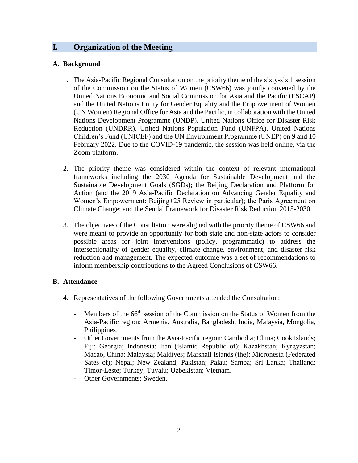# <span id="page-2-0"></span>**I. Organization of the Meeting**

### <span id="page-2-1"></span>**A. Background**

- 1. The Asia-Pacific Regional Consultation on the priority theme of the sixty-sixth session of the Commission on the Status of Women (CSW66) was jointly convened by the United Nations Economic and Social Commission for Asia and the Pacific (ESCAP) and the United Nations Entity for Gender Equality and the Empowerment of Women (UN Women) Regional Office for Asia and the Pacific, in collaboration with the United Nations Development Programme (UNDP), United Nations Office for Disaster Risk Reduction (UNDRR), United Nations Population Fund (UNFPA), United Nations Children's Fund (UNICEF) and the UN Environment Programme (UNEP) on 9 and 10 February 2022. Due to the COVID-19 pandemic, the session was held online, via the Zoom platform.
- 2. The priority theme was considered within the context of relevant international frameworks including the 2030 Agenda for Sustainable Development and the Sustainable Development Goals (SGDs); the Beijing Declaration and Platform for Action (and the 2019 Asia-Pacific Declaration on Advancing Gender Equality and Women's Empowerment: Beijing+25 Review in particular); the Paris Agreement on Climate Change; and the Sendai Framework for Disaster Risk Reduction 2015-2030.
- 3. The objectives of the Consultation were aligned with the priority theme of CSW66 and were meant to provide an opportunity for both state and non-state actors to consider possible areas for joint interventions (policy, programmatic) to address the intersectionality of gender equality, climate change, environment, and disaster risk reduction and management. The expected outcome was a set of recommendations to inform membership contributions to the Agreed Conclusions of CSW66.

# <span id="page-2-2"></span>**B. Attendance**

- 4. Representatives of the following Governments attended the Consultation:
	- Members of the 66<sup>th</sup> session of the Commission on the Status of Women from the Asia-Pacific region: Armenia, Australia, Bangladesh, India, Malaysia, Mongolia, Philippines.
	- Other Governments from the Asia-Pacific region: Cambodia; China; Cook Islands; Fiji; Georgia; Indonesia; Iran (Islamic Republic of); Kazakhstan; Kyrgyzstan; Macao, China; Malaysia; Maldives; Marshall Islands (the); Micronesia (Federated Sates of); Nepal; New Zealand; Pakistan; Palau; Samoa; Sri Lanka; Thailand; Timor-Leste; Turkey; Tuvalu; Uzbekistan; Vietnam.
	- Other Governments: Sweden.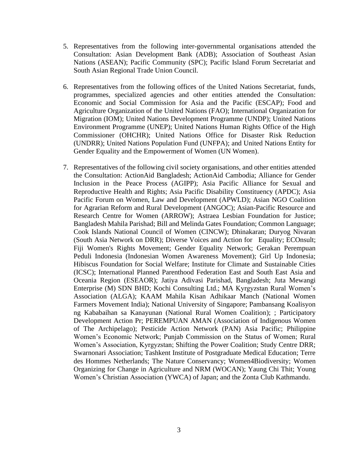- 5. Representatives from the following inter-governmental organisations attended the Consultation: Asian Development Bank (ADB); Association of Southeast Asian Nations (ASEAN); Pacific Community (SPC); Pacific Island Forum Secretariat and South Asian Regional Trade Union Council.
- 6. Representatives from the following offices of the United Nations Secretariat, funds, programmes, specialized agencies and other entities attended the Consultation: Economic and Social Commission for Asia and the Pacific (ESCAP); Food and Agriculture Organization of the United Nations (FAO); International Organization for Migration (IOM); United Nations Development Programme (UNDP); United Nations Environment Programme (UNEP); United Nations Human Rights Office of the High Commissioner (OHCHR); United Nations Office for Disaster Risk Reduction (UNDRR); United Nations Population Fund (UNFPA); and United Nations Entity for Gender Equality and the Empowerment of Women (UN Women).
- <span id="page-3-0"></span>7. Representatives of the following civil society organisations, and other entities attended the Consultation: ActionAid Bangladesh; ActionAid Cambodia; Alliance for Gender Inclusion in the Peace Process (AGIPP); Asia Pacific Alliance for Sexual and Reproductive Health and Rights; Asia Pacific Disability Constituency (APDC); Asia Pacific Forum on Women, Law and Development (APWLD); Asian NGO Coalition for Agrarian Reform and Rural Development (ANGOC); Asian-Pacific Resource and Research Centre for Women (ARROW); Astraea Lesbian Foundation for Justice; Bangladesh Mahila Parishad; Bill and Melinda Gates Foundation; Common Language; Cook Islands National Council of Women (CINCW); Dhinakaran; Duryog Nivaran (South Asia Network on DRR); Diverse Voices and Action for Equality; ECOnsult; Fiji Women's Rights Movement; Gender Equality Network; Gerakan Perempuan Peduli Indonesia (Indonesian Women Awareness Movement); Girl Up Indonesia; Hibiscus Foundation for Social Welfare; Institute for Climate and Sustainable Cities (ICSC); International Planned Parenthood Federation East and South East Asia and Oceania Region (ESEAOR); Jatiya Adivasi Parishad, Bangladesh; Juta Mewangi Enterprise (M) SDN BHD; Kochi Consulting Ltd.; MA Kyrgyzstan Rural Women's Association (ALGA); KAAM Mahila Kisan Adhikaar Manch (National Women Farmers Movement India); National University of Singapore; Pambansang Koalisyon ng Kababaihan sa Kanayunan (National Rural Women Coalition); ; Participatory Development Action Pr; PEREMPUAN AMAN (Association of Indigenous Women of The Archipelago); Pesticide Action Network (PAN) Asia Pacific; Philippine Women's Economic Network; Punjab Commission on the Status of Women; Rural Women's Association, Kyrgyzstan; Shifting the Power Coalition; Study Centre DRR; Swarnonari Association; Tashkent Institute of Postgraduate Medical Education; Terre des Hommes Netherlands; The Nature Conservancy; Women4Biodiversity; Women Organizing for Change in Agriculture and NRM (WOCAN); Yaung Chi Thit; Young Women's Christian Association (YWCA) of Japan; and the Zonta Club Kathmandu.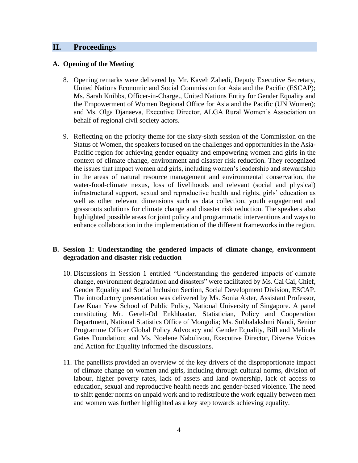# **II. Proceedings**

#### <span id="page-4-0"></span>**A. Opening of the Meeting**

- 8. Opening remarks were delivered by Mr. Kaveh Zahedi, Deputy Executive Secretary, United Nations Economic and Social Commission for Asia and the Pacific (ESCAP); Ms. Sarah Knibbs, Officer-in-Charge., United Nations Entity for Gender Equality and the Empowerment of Women Regional Office for Asia and the Pacific (UN Women); and Ms. Olga Djanaeva, Executive Director, ALGA Rural Women's Association on behalf of regional civil society actors.
- 9. Reflecting on the priority theme for the sixty-sixth session of the Commission on the Status of Women, the speakers focused on the challenges and opportunities in the Asia-Pacific region for achieving gender equality and empowering women and girls in the context of climate change, environment and disaster risk reduction. They recognized the issues that impact women and girls, including women's leadership and stewardship in the areas of natural resource management and environmental conservation, the water-food-climate nexus, loss of livelihoods and relevant (social and physical) infrastructural support, sexual and reproductive health and rights, girls' education as well as other relevant dimensions such as data collection, youth engagement and grassroots solutions for climate change and disaster risk reduction. The speakers also highlighted possible areas for joint policy and programmatic interventions and ways to enhance collaboration in the implementation of the different frameworks in the region.

#### <span id="page-4-1"></span>**B. Session 1: Understanding the gendered impacts of climate change, environment degradation and disaster risk reduction**

- 10. Discussions in Session 1 entitled "Understanding the gendered impacts of climate change, environment degradation and disasters" were facilitated by Ms. Cai Cai, Chief, Gender Equality and Social Inclusion Section, Social Development Division, ESCAP. The introductory presentation was delivered by Ms. Sonia Akter, Assistant Professor, Lee Kuan Yew School of Public Policy, National University of Singapore. A panel constituting Mr. Gerelt-Od Enkhbaatar, Statistician, Policy and Cooperation Department, National Statistics Office of Mongolia; Ms. Subhalakshmi Nandi, Senior Programme Officer Global Policy Advocacy and Gender Equality, Bill and Melinda Gates Foundation; and Ms. Noelene Nabulivou, Executive Director, Diverse Voices and Action for Equality informed the discussions.
- 11. The panellists provided an overview of the key drivers of the disproportionate impact of climate change on women and girls, including through cultural norms, division of labour, higher poverty rates, lack of assets and land ownership, lack of access to education, sexual and reproductive health needs and gender-based violence. The need to shift gender norms on unpaid work and to redistribute the work equally between men and women was further highlighted as a key step towards achieving equality.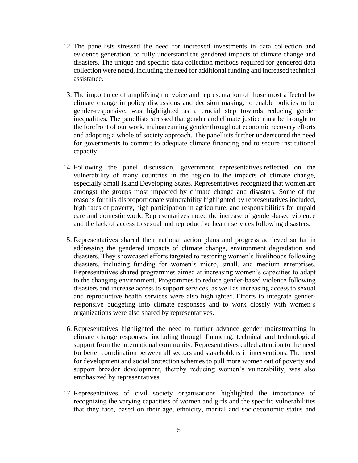- 12. The panellists stressed the need for increased investments in data collection and evidence generation, to fully understand the gendered impacts of climate change and disasters. The unique and specific data collection methods required for gendered data collection were noted, including the need for additional funding and increased technical assistance.
- 13. The importance of amplifying the voice and representation of those most affected by climate change in policy discussions and decision making, to enable policies to be gender-responsive, was highlighted as a crucial step towards reducing gender inequalities. The panellists stressed that gender and climate justice must be brought to the forefront of our work, mainstreaming gender throughout economic recovery efforts and adopting a whole of society approach. The panellists further underscored the need for governments to commit to adequate climate financing and to secure institutional capacity.
- 14. Following the panel discussion, government representatives reflected on the vulnerability of many countries in the region to the impacts of climate change, especially Small Island Developing States. Representatives recognized that women are amongst the groups most impacted by climate change and disasters. Some of the reasons for this disproportionate vulnerability highlighted by representatives included, high rates of poverty, high participation in agriculture, and responsibilities for unpaid care and domestic work. Representatives noted the increase of gender-based violence and the lack of access to sexual and reproductive health services following disasters.
- 15. Representatives shared their national action plans and progress achieved so far in addressing the gendered impacts of climate change, environment degradation and disasters. They showcased efforts targeted to restoring women's livelihoods following disasters, including funding for women's micro, small, and medium enterprises. Representatives shared programmes aimed at increasing women's capacities to adapt to the changing environment. Programmes to reduce gender-based violence following disasters and increase access to support services, as well as increasing access to sexual and reproductive health services were also highlighted. Efforts to integrate genderresponsive budgeting into climate responses and to work closely with women's organizations were also shared by representatives.
- 16. Representatives highlighted the need to further advance gender mainstreaming in climate change responses, including through financing, technical and technological support from the international community. Representatives called attention to the need for better coordination between all sectors and stakeholders in interventions. The need for development and social protection schemes to pull more women out of poverty and support broader development, thereby reducing women's vulnerability, was also emphasized by representatives.
- 17. Representatives of civil society organisations highlighted the importance of recognizing the varying capacities of women and girls and the specific vulnerabilities that they face, based on their age, ethnicity, marital and socioeconomic status and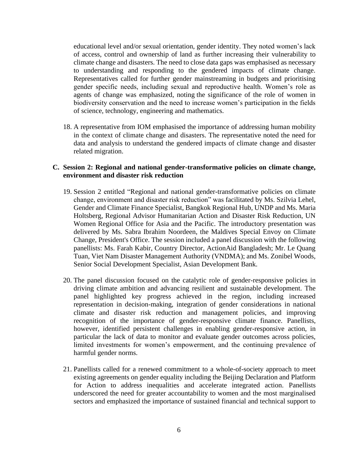educational level and/or sexual orientation, gender identity. They noted women's lack of access, control and ownership of land as further increasing their vulnerability to climate change and disasters. The need to close data gaps was emphasised as necessary to understanding and responding to the gendered impacts of climate change. Representatives called for further gender mainstreaming in budgets and prioritising gender specific needs, including sexual and reproductive health. Women's role as agents of change was emphasized, noting the significance of the role of women in biodiversity conservation and the need to increase women's participation in the fields of science, technology, engineering and mathematics.

18. A representative from IOM emphasised the importance of addressing human mobility in the context of climate change and disasters. The representative noted the need for data and analysis to understand the gendered impacts of climate change and disaster related migration.

#### <span id="page-6-0"></span>**C. Session 2: Regional and national gender-transformative policies on climate change, environment and disaster risk reduction**

- 19. Session 2 entitled "Regional and national gender-transformative policies on climate change, environment and disaster risk reduction" was facilitated by Ms. Szilvia Lehel, Gender and Climate Finance Specialist, Bangkok Regional Hub, UNDP and Ms. Maria Holtsberg, Regional Advisor Humanitarian Action and Disaster Risk Reduction, UN Women Regional Office for Asia and the Pacific. The introductory presentation was delivered by Ms. Sabra Ibrahim Noordeen, the Maldives Special Envoy on Climate Change, President's Office. The session included a panel discussion with the following panellists: Ms. Farah Kabir, Country Director, ActionAid Bangladesh; Mr. Le Quang Tuan, Viet Nam Disaster Management Authority (VNDMA); and Ms. Zonibel Woods, Senior Social Development Specialist, Asian Development Bank.
- 20. The panel discussion focused on the catalytic role of gender-responsive policies in driving climate ambition and advancing resilient and sustainable development. The panel highlighted key progress achieved in the region, including increased representation in decision-making, integration of gender considerations in national climate and disaster risk reduction and management policies, and improving recognition of the importance of gender-responsive climate finance. Panellists, however, identified persistent challenges in enabling gender-responsive action, in particular the lack of data to monitor and evaluate gender outcomes across policies, limited investments for women's empowerment, and the continuing prevalence of harmful gender norms.
- 21. Panellists called for a renewed commitment to a whole-of-society approach to meet existing agreements on gender equality including the Beijing Declaration and Platform for Action to address inequalities and accelerate integrated action. Panellists underscored the need for greater accountability to women and the most marginalised sectors and emphasized the importance of sustained financial and technical support to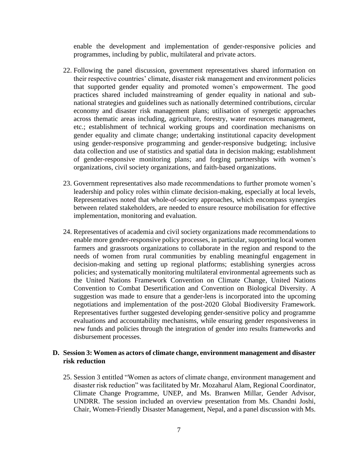enable the development and implementation of gender-responsive policies and programmes, including by public, multilateral and private actors.

- 22. Following the panel discussion, government representatives shared information on their respective countries' climate, disaster risk management and environment policies that supported gender equality and promoted women's empowerment. The good practices shared included mainstreaming of gender equality in national and subnational strategies and guidelines such as nationally determined contributions, circular economy and disaster risk management plans; utilisation of synergetic approaches across thematic areas including, agriculture, forestry, water resources management, etc.; establishment of technical working groups and coordination mechanisms on gender equality and climate change; undertaking institutional capacity development using gender-responsive programming and gender-responsive budgeting; inclusive data collection and use of statistics and spatial data in decision making; establishment of gender-responsive monitoring plans; and forging partnerships with women's organizations, civil society organizations, and faith-based organizations.
- 23. Government representatives also made recommendations to further promote women's leadership and policy roles within climate decision-making, especially at local levels, Representatives noted that whole-of-society approaches, which encompass synergies between related stakeholders, are needed to ensure resource mobilisation for effective implementation, monitoring and evaluation.
- 24. Representatives of academia and civil society organizations made recommendations to enable more gender-responsive policy processes, in particular, supporting local women farmers and grassroots organizations to collaborate in the region and respond to the needs of women from rural communities by enabling meaningful engagement in decision-making and setting up regional platforms; establishing synergies across policies; and systematically monitoring multilateral environmental agreements such as the United Nations Framework Convention on Climate Change, United Nations Convention to Combat Desertification and Convention on Biological Diversity. A suggestion was made to ensure that a gender-lens is incorporated into the upcoming negotiations and implementation of the post-2020 Global Biodiversity Framework. Representatives further suggested developing gender-sensitive policy and programme evaluations and accountability mechanisms, while ensuring gender responsiveness in new funds and policies through the integration of gender into results frameworks and disbursement processes.

#### <span id="page-7-0"></span>**D. Session 3: Women as actors of climate change, environment management and disaster risk reduction**

25. Session 3 entitled "Women as actors of climate change, environment management and disaster risk reduction" was facilitated by Mr. Mozaharul Alam, Regional Coordinator, Climate Change Programme, UNEP, and Ms. Branwen Millar, Gender Advisor, UNDRR. The session included an overview presentation from Ms. Chandni Joshi, Chair, Women-Friendly Disaster Management, Nepal, and a panel discussion with Ms.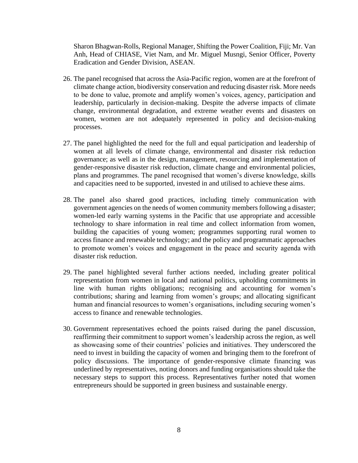Sharon Bhagwan-Rolls, Regional Manager, Shifting the Power Coalition, Fiji; Mr. Van Anh, Head of CHIASE, Viet Nam, and Mr. Miguel Musngi, Senior Officer, Poverty Eradication and Gender Division, ASEAN.

- 26. The panel recognised that across the Asia-Pacific region, women are at the forefront of climate change action, biodiversity conservation and reducing disaster risk. More needs to be done to value, promote and amplify women's voices, agency, participation and leadership, particularly in decision-making. Despite the adverse impacts of climate change, environmental degradation, and extreme weather events and disasters on women, women are not adequately represented in policy and decision-making processes.
- 27. The panel highlighted the need for the full and equal participation and leadership of women at all levels of climate change, environmental and disaster risk reduction governance; as well as in the design, management, resourcing and implementation of gender-responsive disaster risk reduction, climate change and environmental policies, plans and programmes. The panel recognised that women's diverse knowledge, skills and capacities need to be supported, invested in and utilised to achieve these aims.
- 28. The panel also shared good practices, including timely communication with government agencies on the needs of women community members following a disaster; women-led early warning systems in the Pacific that use appropriate and accessible technology to share information in real time and collect information from women, building the capacities of young women; programmes supporting rural women to access finance and renewable technology; and the policy and programmatic approaches to promote women's voices and engagement in the peace and security agenda with disaster risk reduction.
- 29. The panel highlighted several further actions needed, including greater political representation from women in local and national politics, upholding commitments in line with human rights obligations; recognising and accounting for women's contributions; sharing and learning from women's groups; and allocating significant human and financial resources to women's organisations, including securing women's access to finance and renewable technologies.
- 30. Government representatives echoed the points raised during the panel discussion, reaffirming their commitment to support women's leadership across the region, as well as showcasing some of their countries' policies and initiatives. They underscored the need to invest in building the capacity of women and bringing them to the forefront of policy discussions. The importance of gender-responsive climate financing was underlined by representatives, noting donors and funding organisations should take the necessary steps to support this process. Representatives further noted that women entrepreneurs should be supported in green business and sustainable energy.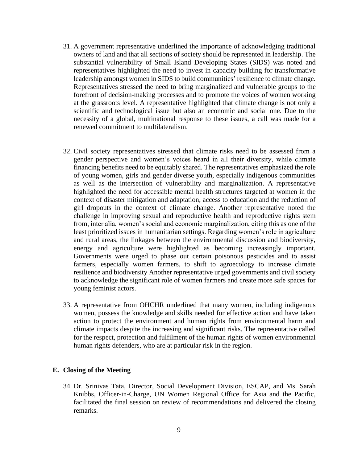- 31. A government representative underlined the importance of acknowledging traditional owners of land and that all sections of society should be represented in leadership. The substantial vulnerability of Small Island Developing States (SIDS) was noted and representatives highlighted the need to invest in capacity building for transformative leadership amongst women in SIDS to build communities' resilience to climate change. Representatives stressed the need to bring marginalized and vulnerable groups to the forefront of decision-making processes and to promote the voices of women working at the grassroots level. A representative highlighted that climate change is not only a scientific and technological issue but also an economic and social one. Due to the necessity of a global, multinational response to these issues, a call was made for a renewed commitment to multilateralism.
- 32. Civil society representatives stressed that climate risks need to be assessed from a gender perspective and women's voices heard in all their diversity, while climate financing benefits need to be equitably shared. The representatives emphasized the role of young women, girls and gender diverse youth, especially indigenous communities as well as the intersection of vulnerability and marginalization. A representative highlighted the need for accessible mental health structures targeted at women in the context of disaster mitigation and adaptation, access to education and the reduction of girl dropouts in the context of climate change. Another representative noted the challenge in improving sexual and reproductive health and reproductive rights stem from, inter alia, women's social and economic marginalization, citing this as one of the least prioritized issues in humanitarian settings. Regarding women's role in agriculture and rural areas, the linkages between the environmental discussion and biodiversity, energy and agriculture were highlighted as becoming increasingly important. Governments were urged to phase out certain poisonous pesticides and to assist farmers, especially women farmers, to shift to agroecology to increase climate resilience and biodiversity Another representative urged governments and civil society to acknowledge the significant role of women farmers and create more safe spaces for young feminist actors.
- 33. A representative from OHCHR underlined that many women, including indigenous women, possess the knowledge and skills needed for effective action and have taken action to protect the environment and human rights from environmental harm and climate impacts despite the increasing and significant risks. The representative called for the respect, protection and fulfilment of the human rights of women environmental human rights defenders, who are at particular risk in the region.

#### <span id="page-9-0"></span>**E. Closing of the Meeting**

34. Dr. Srinivas Tata, Director, Social Development Division, ESCAP, and Ms. Sarah Knibbs, Officer-in-Charge, UN Women Regional Office for Asia and the Pacific, facilitated the final session on review of recommendations and delivered the closing remarks.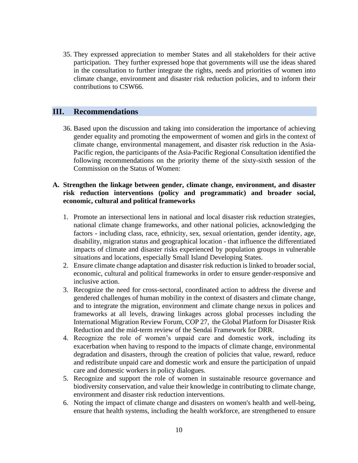35. They expressed appreciation to member States and all stakeholders for their active participation. They further expressed hope that governments will use the ideas shared in the consultation to further integrate the rights, needs and priorities of women into climate change, environment and disaster risk reduction policies, and to inform their contributions to CSW66.

# <span id="page-10-0"></span>**III. Recommendations**

36. Based upon the discussion and taking into consideration the importance of achieving gender equality and promoting the empowerment of women and girls in the context of climate change, environmental management, and disaster risk reduction in the Asia-Pacific region, the participants of the Asia-Pacific Regional Consultation identified the following recommendations on the priority theme of the sixty-sixth session of the Commission on the Status of Women:

#### <span id="page-10-1"></span>**A. Strengthen the linkage between gender, climate change, environment, and disaster risk reduction interventions (policy and programmatic) and broader social, economic, cultural and political frameworks**

- 1. Promote an intersectional lens in national and local disaster risk reduction strategies, national climate change frameworks, and other national policies, acknowledging the factors - including class, race, ethnicity, sex, sexual orientation, gender identity, age, disability, migration status and geographical location - that influence the differentiated impacts of climate and disaster risks experienced by population groups in vulnerable situations and locations, especially Small Island Developing States.
- 2. Ensure climate change adaptation and disaster risk reduction is linked to broader social, economic, cultural and political frameworks in order to ensure gender-responsive and inclusive action.
- 3. Recognize the need for cross-sectoral, coordinated action to address the diverse and gendered challenges of human mobility in the context of disasters and climate change, and to integrate the migration, environment and climate change nexus in polices and frameworks at all levels, drawing linkages across global processes including the International Migration Review Forum, COP 27, the Global Platform for Disaster Risk Reduction and the mid-term review of the Sendai Framework for DRR.
- 4. Recognize the role of women's unpaid care and domestic work, including its exacerbation when having to respond to the impacts of climate change, environmental degradation and disasters, through the creation of policies that value, reward, reduce and redistribute unpaid care and domestic work and ensure the participation of unpaid care and domestic workers in policy dialogues.
- 5. Recognize and support the role of women in sustainable resource governance and biodiversity conservation, and value their knowledge in contributing to climate change, environment and disaster risk reduction interventions.
- 6. Noting the impact of climate change and disasters on women's health and well-being, ensure that health systems, including the health workforce, are strengthened to ensure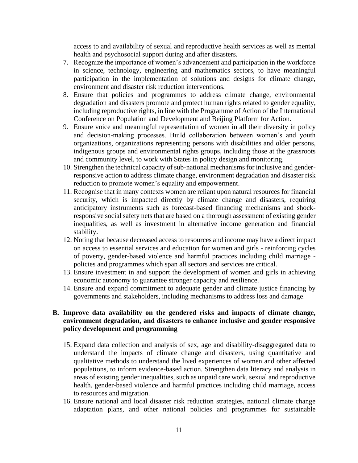access to and availability of sexual and reproductive health services as well as mental health and psychosocial support during and after disasters.

- 7. Recognize the importance of women's advancement and participation in the workforce in science, technology, engineering and mathematics sectors, to have meaningful participation in the implementation of solutions and designs for climate change, environment and disaster risk reduction interventions.
- 8. Ensure that policies and programmes to address climate change, environmental degradation and disasters promote and protect human rights related to gender equality, including reproductive rights, in line with the Programme of Action of the International Conference on Population and Development and Beijing Platform for Action.
- 9. Ensure voice and meaningful representation of women in all their diversity in policy and decision-making processes. Build collaboration between women's and youth organizations, organizations representing persons with disabilities and older persons, indigenous groups and environmental rights groups, including those at the grassroots and community level, to work with States in policy design and monitoring.
- 10. Strengthen the technical capacity of sub-national mechanisms for inclusive and genderresponsive action to address climate change, environment degradation and disaster risk reduction to promote women's equality and empowerment.
- 11. Recognise that in many contexts women are reliant upon natural resources for financial security, which is impacted directly by climate change and disasters, requiring anticipatory instruments such as forecast-based financing mechanisms and shockresponsive social safety nets that are based on a thorough assessment of existing gender inequalities, as well as investment in alternative income generation and financial stability.
- 12. Noting that because decreased access to resources and income may have a direct impact on access to essential services and education for women and girls - reinforcing cycles of poverty, gender-based violence and harmful practices including child marriage policies and programmes which span all sectors and services are critical.
- 13. Ensure investment in and support the development of women and girls in achieving economic autonomy to guarantee stronger capacity and resilience.
- 14. Ensure and expand commitment to adequate gender and climate justice financing by governments and stakeholders, including mechanisms to address loss and damage.

# <span id="page-11-0"></span>**B. Improve data availability on the gendered risks and impacts of climate change, environment degradation, and disasters to enhance inclusive and gender responsive policy development and programming**

- 15. Expand data collection and analysis of sex, age and disability-disaggregated data to understand the impacts of climate change and disasters, using quantitative and qualitative methods to understand the lived experiences of women and other affected populations, to inform evidence-based action. Strengthen data literacy and analysis in areas of existing gender inequalities, such as unpaid care work, sexual and reproductive health, gender-based violence and harmful practices including child marriage, access to resources and migration.
- 16. Ensure national and local disaster risk reduction strategies, national climate change adaptation plans, and other national policies and programmes for sustainable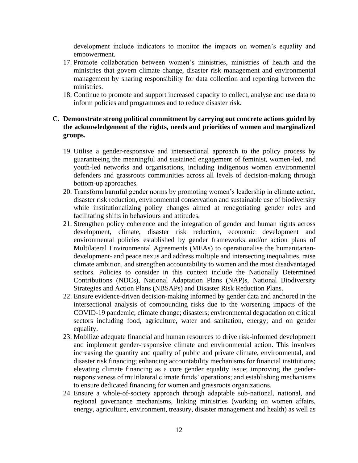development include indicators to monitor the impacts on women's equality and empowerment.

- 17. Promote collaboration between women's ministries, ministries of health and the ministries that govern climate change, disaster risk management and environmental management by sharing responsibility for data collection and reporting between the ministries.
- 18. Continue to promote and support increased capacity to collect, analyse and use data to inform policies and programmes and to reduce disaster risk.

#### <span id="page-12-0"></span>**C. Demonstrate strong political commitment by carrying out concrete actions guided by the acknowledgement of the rights, needs and priorities of women and marginalized groups.**

- 19. Utilise a gender-responsive and intersectional approach to the policy process by guaranteeing the meaningful and sustained engagement of feminist, women-led, and youth-led networks and organisations, including indigenous women environmental defenders and grassroots communities across all levels of decision-making through bottom-up approaches.
- 20. Transform harmful gender norms by promoting women's leadership in climate action, disaster risk reduction, environmental conservation and sustainable use of biodiversity while institutionalizing policy changes aimed at renegotiating gender roles and facilitating shifts in behaviours and attitudes.
- 21. Strengthen policy coherence and the integration of gender and human rights across development, climate, disaster risk reduction, economic development and environmental policies established by gender frameworks and/or action plans of Multilateral Environmental Agreements (MEAs) to operationalise the humanitariandevelopment- and peace nexus and address multiple and intersecting inequalities, raise climate ambition, and strengthen accountability to women and the most disadvantaged sectors. Policies to consider in this context include the Nationally Determined Contributions (NDCs), National Adaptation Plans (NAP)s, National Biodiversity Strategies and Action Plans (NBSAPs) and Disaster Risk Reduction Plans.
- 22. Ensure evidence-driven decision-making informed by gender data and anchored in the intersectional analysis of compounding risks due to the worsening impacts of the COVID-19 pandemic; climate change; disasters; environmental degradation on critical sectors including food, agriculture, water and sanitation, energy; and on gender equality.
- 23. Mobilize adequate financial and human resources to drive risk-informed development and implement gender-responsive climate and environmental action. This involves increasing the quantity and quality of public and private climate, environmental, and disaster risk financing; enhancing accountability mechanisms for financial institutions; elevating climate financing as a core gender equality issue; improving the genderresponsiveness of multilateral climate funds' operations; and establishing mechanisms to ensure dedicated financing for women and grassroots organizations.
- 24. Ensure a whole-of-society approach through adaptable sub-national, national, and regional governance mechanisms, linking ministries (working on women affairs, energy, agriculture, environment, treasury, disaster management and health) as well as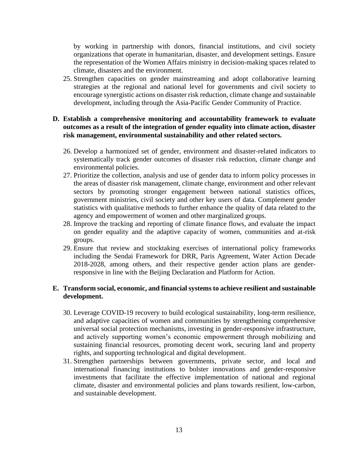by working in partnership with donors, financial institutions, and civil society organizations that operate in humanitarian, disaster, and development settings. Ensure the representation of the Women Affairs ministry in decision-making spaces related to climate, disasters and the environment.

25. Strengthen capacities on gender mainstreaming and adopt collaborative learning strategies at the regional and national level for governments and civil society to encourage synergistic actions on disaster risk reduction, climate change and sustainable development, including through the Asia-Pacific Gender Community of Practice.

#### <span id="page-13-0"></span>**D. Establish a comprehensive monitoring and accountability framework to evaluate outcomes as a result of the integration of gender equality into climate action, disaster risk management, environmental sustainability and other related sectors.**

- 26. Develop a harmonized set of gender, environment and disaster-related indicators to systematically track gender outcomes of disaster risk reduction, climate change and environmental policies.
- 27. Prioritize the collection, analysis and use of gender data to inform policy processes in the areas of disaster risk management, climate change, environment and other relevant sectors by promoting stronger engagement between national statistics offices, government ministries, civil society and other key users of data. Complement gender statistics with qualitative methods to further enhance the quality of data related to the agency and empowerment of women and other marginalized groups.
- 28. Improve the tracking and reporting of climate finance flows, and evaluate the impact on gender equality and the adaptive capacity of women, communities and at-risk groups.
- 29. Ensure that review and stocktaking exercises of international policy frameworks including the Sendai Framework for DRR, Paris Agreement, Water Action Decade 2018-2028, among others, and their respective gender action plans are genderresponsive in line with the Beijing Declaration and Platform for Action.

#### <span id="page-13-1"></span>**E. Transform social, economic, and financial systems to achieve resilient and sustainable development.**

- 30. Leverage COVID-19 recovery to build ecological sustainability, long-term resilience, and adaptive capacities of women and communities by strengthening comprehensive universal social protection mechanisms, investing in gender-responsive infrastructure, and actively supporting women's economic empowerment through mobilizing and sustaining financial resources, promoting decent work, securing land and property rights, and supporting technological and digital development.
- 31. Strengthen partnerships between governments, private sector, and local and international financing institutions to bolster innovations and gender-responsive investments that facilitate the effective implementation of national and regional climate, disaster and environmental policies and plans towards resilient, low-carbon, and sustainable development.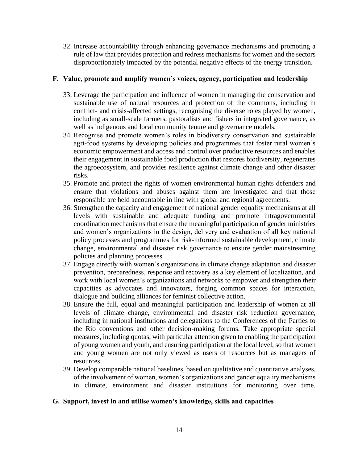32. Increase accountability through enhancing governance mechanisms and promoting a rule of law that provides protection and redress mechanisms for women and the sectors disproportionately impacted by the potential negative effects of the energy transition.

#### <span id="page-14-0"></span>**F. Value, promote and amplify women's voices, agency, participation and leadership**

- 33. Leverage the participation and influence of women in managing the conservation and sustainable use of natural resources and protection of the commons, including in conflict- and crisis-affected settings, recognising the diverse roles played by women, including as small-scale farmers, pastoralists and fishers in integrated governance, as well as indigenous and local community tenure and governance models.
- 34. Recognise and promote women's roles in biodiversity conservation and sustainable agri-food systems by developing policies and programmes that foster rural women's economic empowerment and access and control over productive resources and enables their engagement in sustainable food production that restores biodiversity, regenerates the agroecosystem, and provides resilience against climate change and other disaster risks.
- 35. Promote and protect the rights of women environmental human rights defenders and ensure that violations and abuses against them are investigated and that those responsible are held accountable in line with global and regional agreements.
- 36. Strengthen the capacity and engagement of national gender equality mechanisms at all levels with sustainable and adequate funding and promote intragovernmental coordination mechanisms that ensure the meaningful participation of gender ministries and women's organizations in the design, delivery and evaluation of all key national policy processes and programmes for risk-informed sustainable development, climate change, environmental and disaster risk governance to ensure gender mainstreaming policies and planning processes.
- 37. Engage directly with women's organizations in climate change adaptation and disaster prevention, preparedness, response and recovery as a key element of localization, and work with local women's organizations and networks to empower and strengthen their capacities as advocates and innovators, forging common spaces for interaction, dialogue and building alliances for feminist collective action.
- 38. Ensure the full, equal and meaningful participation and leadership of women at all levels of climate change, environmental and disaster risk reduction governance, including in national institutions and delegations to the Conferences of the Parties to the Rio conventions and other decision-making forums. Take appropriate special measures, including quotas, with particular attention given to enabling the participation of young women and youth, and ensuring participation at the local level, so that women and young women are not only viewed as users of resources but as managers of resources.
- 39. Develop comparable national baselines, based on qualitative and quantitative analyses, of the involvement of women, women's organizations and gender equality mechanisms in climate, environment and disaster institutions for monitoring over time.

#### <span id="page-14-1"></span>**G. Support, invest in and utilise women's knowledge, skills and capacities**